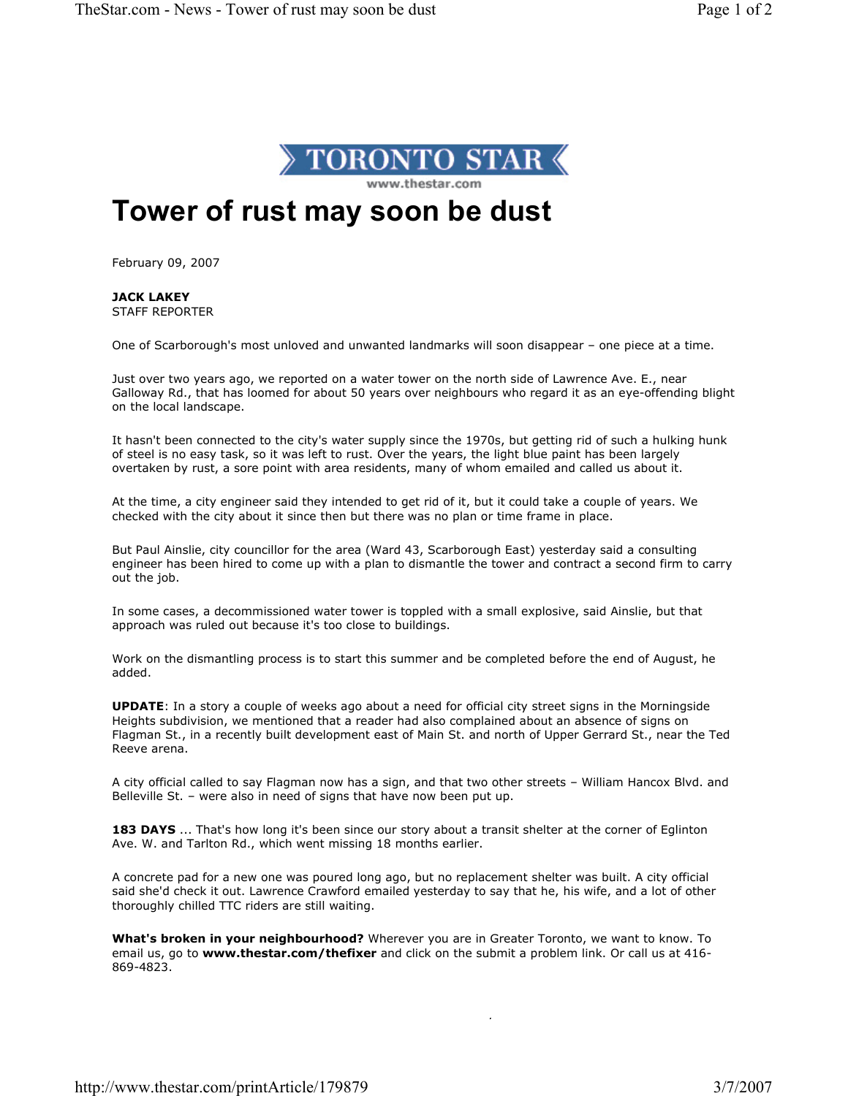

## Tower of rust may soon be dust

February 09, 2007

JACK LAKEY STAFF REPORTER

One of Scarborough's most unloved and unwanted landmarks will soon disappear – one piece at a time.

Just over two years ago, we reported on a water tower on the north side of Lawrence Ave. E., near Galloway Rd., that has loomed for about 50 years over neighbours who regard it as an eye-offending blight on the local landscape.

It hasn't been connected to the city's water supply since the 1970s, but getting rid of such a hulking hunk of steel is no easy task, so it was left to rust. Over the years, the light blue paint has been largely overtaken by rust, a sore point with area residents, many of whom emailed and called us about it.

At the time, a city engineer said they intended to get rid of it, but it could take a couple of years. We checked with the city about it since then but there was no plan or time frame in place.

But Paul Ainslie, city councillor for the area (Ward 43, Scarborough East) yesterday said a consulting engineer has been hired to come up with a plan to dismantle the tower and contract a second firm to carry out the job.

In some cases, a decommissioned water tower is toppled with a small explosive, said Ainslie, but that approach was ruled out because it's too close to buildings.

Work on the dismantling process is to start this summer and be completed before the end of August, he added.

UPDATE: In a story a couple of weeks ago about a need for official city street signs in the Morningside Heights subdivision, we mentioned that a reader had also complained about an absence of signs on Flagman St., in a recently built development east of Main St. and north of Upper Gerrard St., near the Ted Reeve arena.

A city official called to say Flagman now has a sign, and that two other streets – William Hancox Blvd. and Belleville St. – were also in need of signs that have now been put up.

183 DAYS ... That's how long it's been since our story about a transit shelter at the corner of Eglinton Ave. W. and Tarlton Rd., which went missing 18 months earlier.

A concrete pad for a new one was poured long ago, but no replacement shelter was built. A city official said she'd check it out. Lawrence Crawford emailed yesterday to say that he, his wife, and a lot of other thoroughly chilled TTC riders are still waiting.

What's broken in your neighbourhood? Wherever you are in Greater Toronto, we want to know. To email us, go to www.thestar.com/thefixer and click on the submit a problem link. Or call us at 416-869-4823.

j.